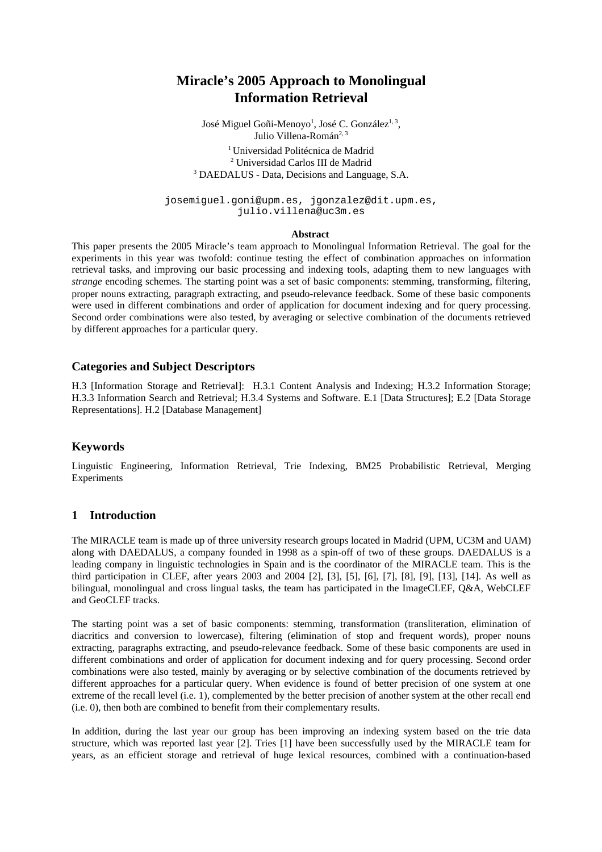# **Miracle's 2005 Approach to Monolingual Information Retrieval**

José Miguel Goñi-Menoyo<sup>1</sup>, José C. González<sup>1, 3</sup>, Julio Villena-Román<sup>2, 3</sup> <sup>1</sup> Universidad Politécnica de Madrid <sup>2</sup> Universidad Carlos III de Madrid<br><sup>3</sup> DAEDALUS Data Decisions and Langus DAEDALUS - Data, Decisions and Language, S.A.

josemiguel.goni@upm.es, jgonzalez@dit.upm.es, julio.villena@uc3m.es

#### **Abstract**

This paper presents the 2005 Miracle's team approach to Monolingual Information Retrieval. The goal for the experiments in this year was twofold: continue testing the effect of combination approaches on information retrieval tasks, and improving our basic processing and indexing tools, adapting them to new languages with *strange* encoding schemes. The starting point was a set of basic components: stemming, transforming, filtering, proper nouns extracting, paragraph extracting, and pseudo-relevance feedback. Some of these basic components were used in different combinations and order of application for document indexing and for query processing. Second order combinations were also tested, by averaging or selective combination of the documents retrieved by different approaches for a particular query.

#### **Categories and Subject Descriptors**

H.3 [Information Storage and Retrieval]: H.3.1 Content Analysis and Indexing; H.3.2 Information Storage; H.3.3 Information Search and Retrieval; H.3.4 Systems and Software. E.1 [Data Structures]; E.2 [Data Storage Representations]. H.2 [Database Management]

#### **Keywords**

Linguistic Engineering, Information Retrieval, Trie Indexing, BM25 Probabilistic Retrieval, Merging Experiments

#### **1 Introduction**

The MIRACLE team is made up of three university research groups located in Madrid (UPM, UC3M and UAM) along with DAEDALUS, a company founded in 1998 as a spin-off of two of these groups. DAEDALUS is a leading company in linguistic technologies in Spain and is the coordinator of the MIRACLE team. This is the third participation in CLEF, after years 2003 and 2004 [2], [3], [5], [6], [7], [8], [9], [13], [14]. As well as bilingual, monolingual and cross lingual tasks, the team has participated in the ImageCLEF, Q&A, WebCLEF and GeoCLEF tracks.

The starting point was a set of basic components: stemming, transformation (transliteration, elimination of diacritics and conversion to lowercase), filtering (elimination of stop and frequent words), proper nouns extracting, paragraphs extracting, and pseudo-relevance feedback. Some of these basic components are used in different combinations and order of application for document indexing and for query processing. Second order combinations were also tested, mainly by averaging or by selective combination of the documents retrieved by different approaches for a particular query. When evidence is found of better precision of one system at one extreme of the recall level (i.e. 1), complemented by the better precision of another system at the other recall end (i.e. 0), then both are combined to benefit from their complementary results.

In addition, during the last year our group has been improving an indexing system based on the trie data structure, which was reported last year [2]. Tries [1] have been successfully used by the MIRACLE team for years, as an efficient storage and retrieval of huge lexical resources, combined with a continuation-based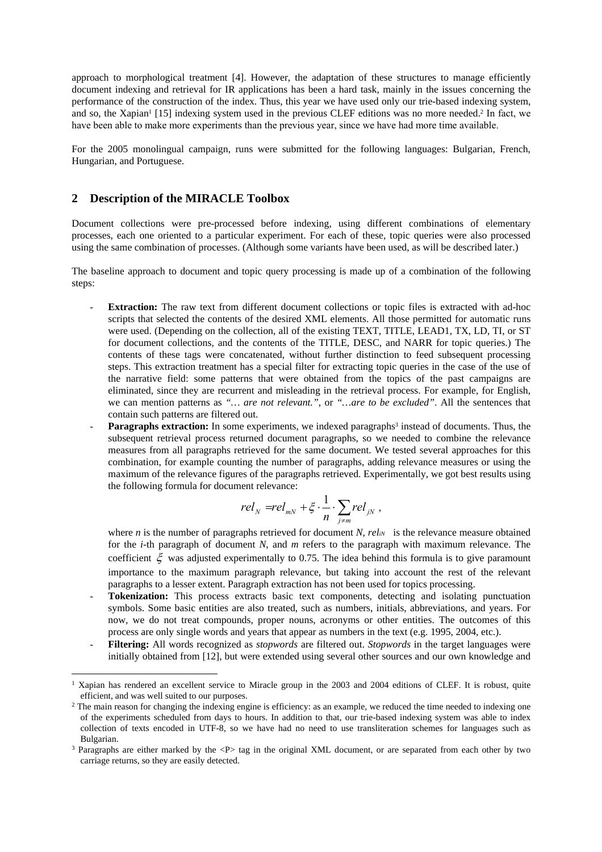approach to morphological treatment [4]. However, the adaptation of these structures to manage efficiently document indexing and retrieval for IR applications has been a hard task, mainly in the issues concerning the performance of the construction of the index. Thus, this year we have used only our trie-based indexing system, and so, the Xapian<sup>1</sup> [15] indexing system used in the previous CLEF editions was no more needed.<sup>2</sup> In fact, we have been able to make more experiments than the previous year, since we have had more time available.

For the 2005 monolingual campaign, runs were submitted for the following languages: Bulgarian, French, Hungarian, and Portuguese.

### **2 Description of the MIRACLE Toolbox**

 $\overline{a}$ 

Document collections were pre-processed before indexing, using different combinations of elementary processes, each one oriented to a particular experiment. For each of these, topic queries were also processed using the same combination of processes. (Although some variants have been used, as will be described later.)

The baseline approach to document and topic query processing is made up of a combination of the following steps:

- **Extraction:** The raw text from different document collections or topic files is extracted with ad-hoc scripts that selected the contents of the desired XML elements. All those permitted for automatic runs were used. (Depending on the collection, all of the existing TEXT, TITLE, LEAD1, TX, LD, TI, or ST for document collections, and the contents of the TITLE, DESC, and NARR for topic queries.) The contents of these tags were concatenated, without further distinction to feed subsequent processing steps. This extraction treatment has a special filter for extracting topic queries in the case of the use of the narrative field: some patterns that were obtained from the topics of the past campaigns are eliminated, since they are recurrent and misleading in the retrieval process. For example, for English, we can mention patterns as *"… are not relevant."*, or *"…are to be excluded"*. All the sentences that contain such patterns are filtered out.
- **Paragraphs extraction:** In some experiments, we indexed paragraphs<sup>3</sup> instead of documents. Thus, the subsequent retrieval process returned document paragraphs, so we needed to combine the relevance measures from all paragraphs retrieved for the same document. We tested several approaches for this combination, for example counting the number of paragraphs, adding relevance measures or using the maximum of the relevance figures of the paragraphs retrieved. Experimentally, we got best results using the following formula for document relevance:

$$
rel_{N} = rel_{mN} + \xi \cdot \frac{1}{n} \cdot \sum_{j \neq m} rel_{jN} ,
$$

where  $n$  is the number of paragraphs retrieved for document  $N$ ,  $relu$  is the relevance measure obtained for the *i-*th paragraph of document *N*, and *m* refers to the paragraph with maximum relevance. The coefficient  $\xi$  was adjusted experimentally to 0.75. The idea behind this formula is to give paramount importance to the maximum paragraph relevance, but taking into account the rest of the relevant paragraphs to a lesser extent. Paragraph extraction has not been used for topics processing.

- Tokenization: This process extracts basic text components, detecting and isolating punctuation symbols. Some basic entities are also treated, such as numbers, initials, abbreviations, and years. For now, we do not treat compounds, proper nouns, acronyms or other entities. The outcomes of this process are only single words and years that appear as numbers in the text (e.g. 1995, 2004, etc.).
- **Filtering:** All words recognized as *stopwords* are filtered out. *Stopwords* in the target languages were initially obtained from [12], but were extended using several other sources and our own knowledge and

<sup>1</sup> Xapian has rendered an excellent service to Miracle group in the 2003 and 2004 editions of CLEF. It is robust, quite efficient, and was well suited to our purposes.<br><sup>2</sup> The main reason for changing the indexing engine is efficiency: as an example, we reduced the time needed to indexing one

of the experiments scheduled from days to hours. In addition to that, our trie-based indexing system was able to index collection of texts encoded in UTF-8, so we have had no need to use transliteration schemes for languages such as Bulgarian.<br><sup>3</sup> Paragraphs are either marked by the <P> tag in the original XML document, or are separated from each other by two

carriage returns, so they are easily detected.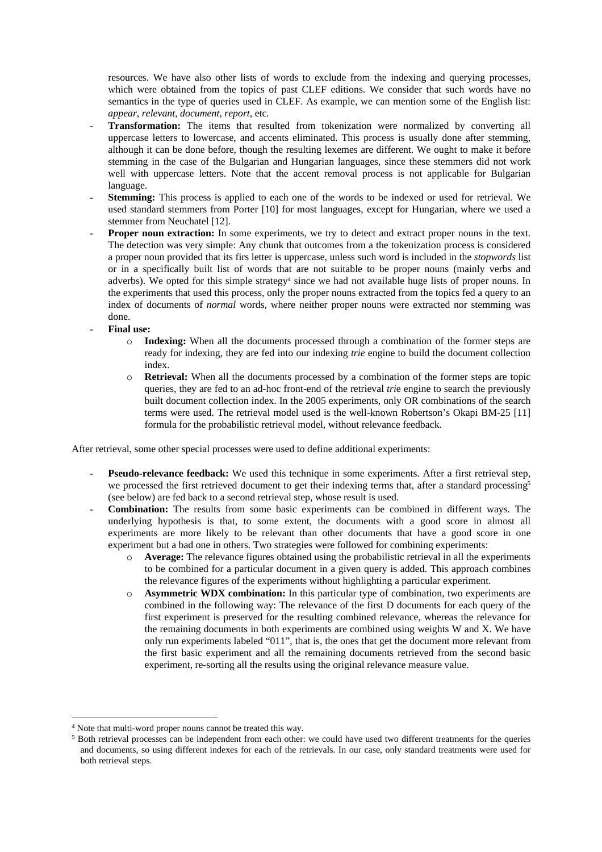resources. We have also other lists of words to exclude from the indexing and querying processes, which were obtained from the topics of past CLEF editions. We consider that such words have no semantics in the type of queries used in CLEF. As example, we can mention some of the English list: *appear, relevant, document, report,* etc*.* 

- Transformation: The items that resulted from tokenization were normalized by converting all uppercase letters to lowercase, and accents eliminated. This process is usually done after stemming, although it can be done before, though the resulting lexemes are different. We ought to make it before stemming in the case of the Bulgarian and Hungarian languages, since these stemmers did not work well with uppercase letters. Note that the accent removal process is not applicable for Bulgarian language.
- **Stemming:** This process is applied to each one of the words to be indexed or used for retrieval. We used standard stemmers from Porter [10] for most languages, except for Hungarian, where we used a stemmer from Neuchatel [12].
- Proper noun extraction: In some experiments, we try to detect and extract proper nouns in the text. The detection was very simple: Any chunk that outcomes from a the tokenization process is considered a proper noun provided that its firs letter is uppercase, unless such word is included in the *stopwords* list or in a specifically built list of words that are not suitable to be proper nouns (mainly verbs and adverbs). We opted for this simple strategy<sup>4</sup> since we had not available huge lists of proper nouns. In the experiments that used this process, only the proper nouns extracted from the topics fed a query to an index of documents of *normal* words, where neither proper nouns were extracted nor stemming was done.
- **Final use:** 
	- o **Indexing:** When all the documents processed through a combination of the former steps are ready for indexing, they are fed into our indexing *trie* engine to build the document collection index.
	- o **Retrieval:** When all the documents processed by a combination of the former steps are topic queries, they are fed to an ad-hoc front-end of the retrieval *tri*e engine to search the previously built document collection index. In the 2005 experiments, only OR combinations of the search terms were used. The retrieval model used is the well-known Robertson's Okapi BM-25 [11] formula for the probabilistic retrieval model, without relevance feedback.

After retrieval, some other special processes were used to define additional experiments:

- **Pseudo-relevance feedback:** We used this technique in some experiments. After a first retrieval step, we processed the first retrieved document to get their indexing terms that, after a standard processing<sup>5</sup> (see below) are fed back to a second retrieval step, whose result is used.
- **Combination:** The results from some basic experiments can be combined in different ways. The underlying hypothesis is that, to some extent, the documents with a good score in almost all experiments are more likely to be relevant than other documents that have a good score in one experiment but a bad one in others. Two strategies were followed for combining experiments:
	- o **Average:** The relevance figures obtained using the probabilistic retrieval in all the experiments to be combined for a particular document in a given query is added. This approach combines the relevance figures of the experiments without highlighting a particular experiment.
	- o **Asymmetric WDX combination:** In this particular type of combination, two experiments are combined in the following way: The relevance of the first D documents for each query of the first experiment is preserved for the resulting combined relevance, whereas the relevance for the remaining documents in both experiments are combined using weights W and X. We have only run experiments labeled "011", that is, the ones that get the document more relevant from the first basic experiment and all the remaining documents retrieved from the second basic experiment, re-sorting all the results using the original relevance measure value.

 $\overline{a}$ 

 $4$  Note that multi-word proper nouns cannot be treated this way.<br>  $5$  Both retrieval processes can be independent from each other: we could have used two different treatments for the queries and documents, so using different indexes for each of the retrievals. In our case, only standard treatments were used for both retrieval steps.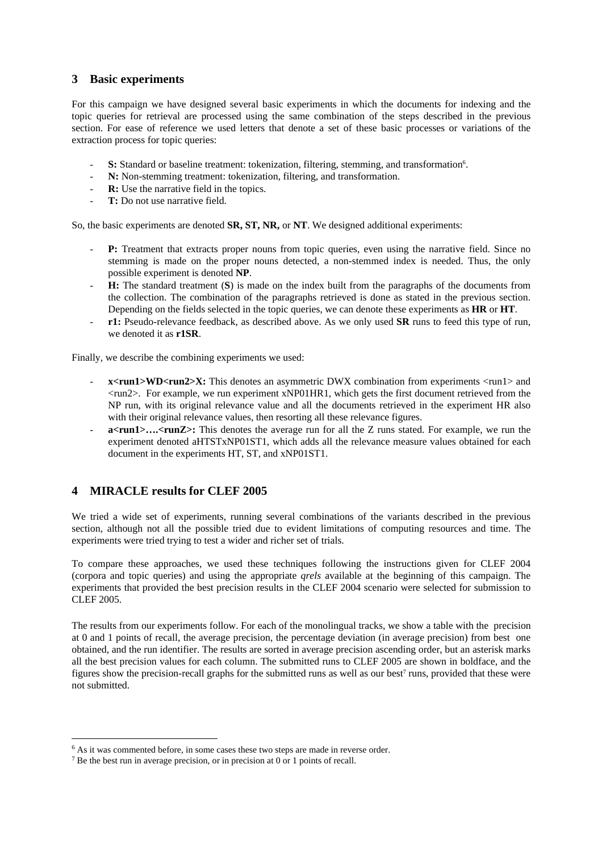### **3 Basic experiments**

For this campaign we have designed several basic experiments in which the documents for indexing and the topic queries for retrieval are processed using the same combination of the steps described in the previous section. For ease of reference we used letters that denote a set of these basic processes or variations of the extraction process for topic queries:

- **S:** Standard or baseline treatment: tokenization, filtering, stemming, and transformation<sup>6</sup>.
- N: Non-stemming treatment: tokenization, filtering, and transformation.
- **R:** Use the narrative field in the topics.
- T: Do not use narrative field.

So, the basic experiments are denoted **SR, ST, NR,** or **NT**. We designed additional experiments:

- P: Treatment that extracts proper nouns from topic queries, even using the narrative field. Since no stemming is made on the proper nouns detected, a non-stemmed index is needed. Thus, the only possible experiment is denoted **NP**.
- **H:** The standard treatment (S) is made on the index built from the paragraphs of the documents from the collection. The combination of the paragraphs retrieved is done as stated in the previous section. Depending on the fields selected in the topic queries, we can denote these experiments as **HR** or **HT**.
- **r1:** Pseudo-relevance feedback, as described above. As we only used **SR** runs to feed this type of run, we denoted it as **r1SR**.

Finally, we describe the combining experiments we used:

- x<run1>WD<run2>X: This denotes an asymmetric DWX combination from experiments <run1> and <run2>. For example, we run experiment xNP01HR1, which gets the first document retrieved from the NP run, with its original relevance value and all the documents retrieved in the experiment HR also with their original relevance values, then resorting all these relevance figures.
- a<run1>....<runZ>: This denotes the average run for all the Z runs stated. For example, we run the experiment denoted aHTSTxNP01ST1, which adds all the relevance measure values obtained for each document in the experiments HT, ST, and xNP01ST1.

## **4 MIRACLE results for CLEF 2005**

We tried a wide set of experiments, running several combinations of the variants described in the previous section, although not all the possible tried due to evident limitations of computing resources and time. The experiments were tried trying to test a wider and richer set of trials.

To compare these approaches, we used these techniques following the instructions given for CLEF 2004 (corpora and topic queries) and using the appropriate *qrels* available at the beginning of this campaign. The experiments that provided the best precision results in the CLEF 2004 scenario were selected for submission to CLEF 2005.

The results from our experiments follow. For each of the monolingual tracks, we show a table with the precision at 0 and 1 points of recall, the average precision, the percentage deviation (in average precision) from best one obtained, and the run identifier. The results are sorted in average precision ascending order, but an asterisk marks all the best precision values for each column. The submitted runs to CLEF 2005 are shown in boldface, and the figures show the precision-recall graphs for the submitted runs as well as our best $\ell$  runs, provided that these were not submitted.

 $\overline{a}$ 

 $6$  As it was commented before, in some cases these two steps are made in reverse order.  $7$  Be the best run in average precision, or in precision at 0 or 1 points of recall.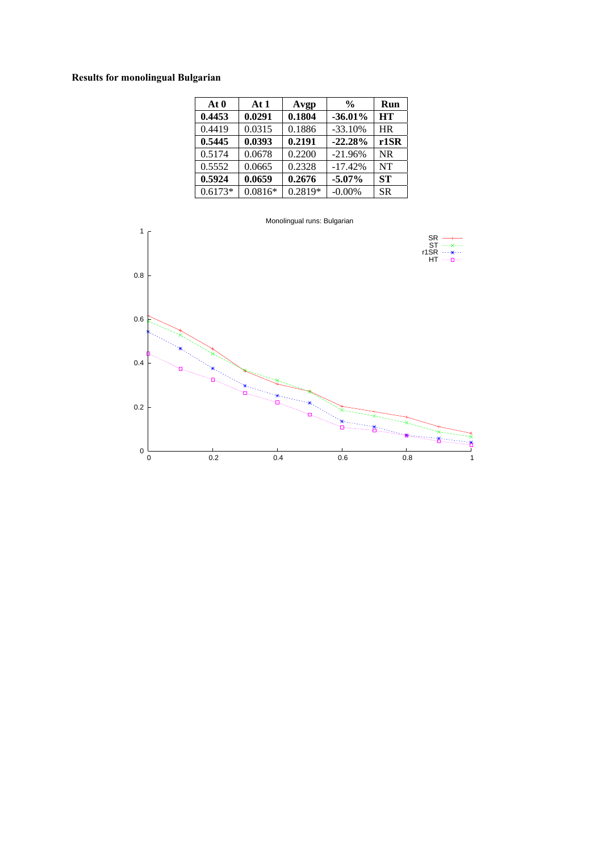## **Results for monolingual Bulgarian**

| At 0      | At $1$    | Avgp    | $\frac{0}{0}$ | Run       |
|-----------|-----------|---------|---------------|-----------|
| 0.4453    | 0.0291    | 0.1804  | $-36.01%$     | <b>HT</b> |
| 0.4419    | 0.0315    | 0.1886  | $-33.10%$     | <b>HR</b> |
| 0.5445    | 0.0393    | 0.2191  | $-22.28%$     | $r1$ SR   |
| 0.5174    | 0.0678    | 0.2200  | $-21.96%$     | <b>NR</b> |
| 0.5552    | 0.0665    | 0.2328  | $-17.42%$     | <b>NT</b> |
| 0.5924    | 0.0659    | 0.2676  | $-5.07\%$     | <b>ST</b> |
| $0.6173*$ | $0.0816*$ | 0.2819* | $-0.00%$      | <b>SR</b> |

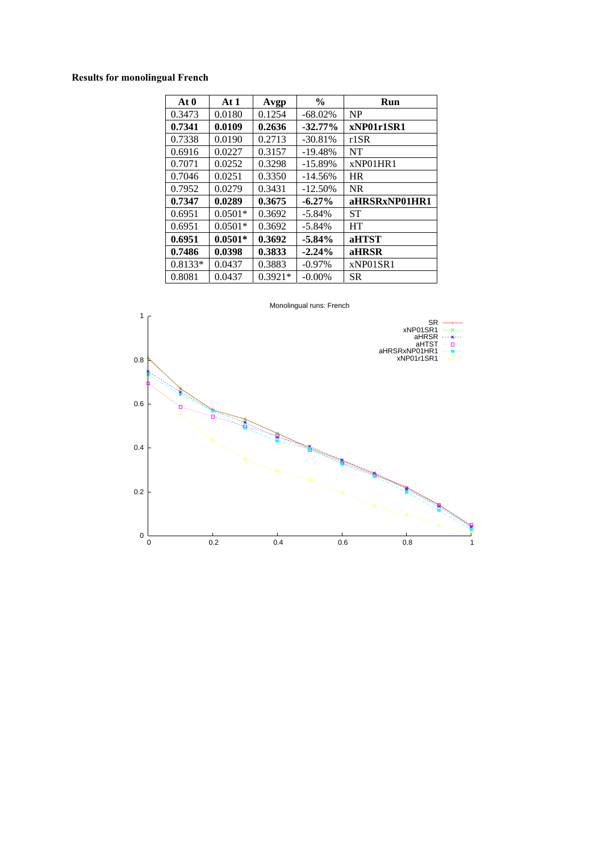## **Results for monolingual French**

| At <sub>0</sub> | At $1$    | Avgp      | $\frac{0}{0}$ | Run           |
|-----------------|-----------|-----------|---------------|---------------|
| 0.3473          | 0.0180    | 0.1254    | $-68.02%$     | <b>NP</b>     |
| 0.7341          | 0.0109    | 0.2636    | $-32.77\%$    | xNP01r1SR1    |
| 0.7338          | 0.0190    | 0.2713    | $-30.81%$     | r1SR          |
| 0.6916          | 0.0227    | 0.3157    | $-19.48%$     | NT            |
| 0.7071          | 0.0252    | 0.3298    | $-15.89%$     | xNP01HR1      |
| 0.7046          | 0.0251    | 0.3350    | $-14.56%$     | <b>HR</b>     |
| 0.7952          | 0.0279    | 0.3431    | $-12.50%$     | <b>NR</b>     |
| 0.7347          | 0.0289    | 0.3675    | $-6.27\%$     | aHRSRxNP01HR1 |
| 0.6951          | $0.0501*$ | 0.3692    | $-5.84\%$     | <b>ST</b>     |
| 0.6951          | $0.0501*$ | 0.3692    | $-5.84\%$     | HT            |
| 0.6951          | $0.0501*$ | 0.3692    | $-5.84\%$     | aHTST         |
| 0.7486          | 0.0398    | 0.3833    | $-2.24%$      | aHRSR         |
| 0.8133*         | 0.0437    | 0.3883    | $-0.97%$      | xNP01SR1      |
| 0.8081          | 0.0437    | $0.3921*$ | $-0.00\%$     | <b>SR</b>     |

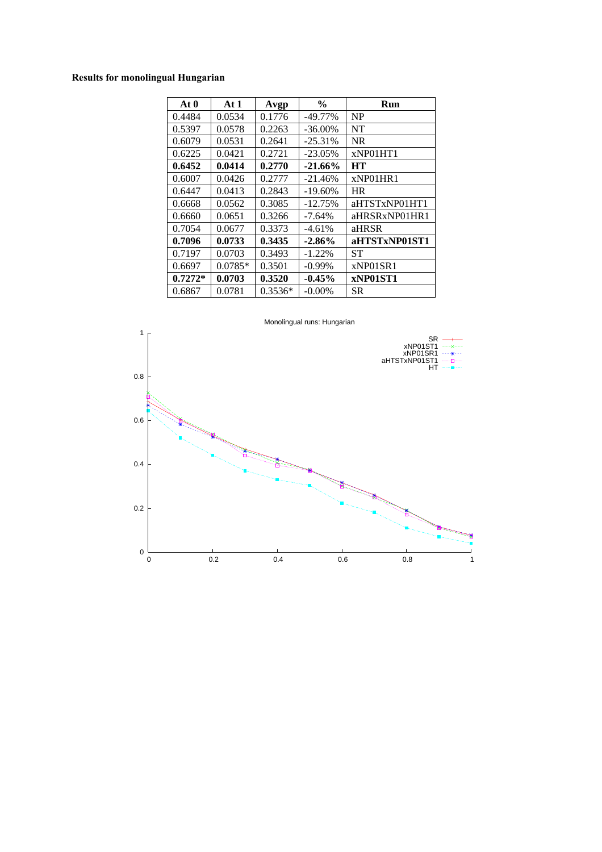## **Results for monolingual Hungarian**

| At <sub>0</sub> | At1       | Avgp      | $\frac{0}{0}$ | Run           |
|-----------------|-----------|-----------|---------------|---------------|
| 0.4484          | 0.0534    | 0.1776    | $-49.77\%$    | NP            |
| 0.5397          | 0.0578    | 0.2263    | $-36.00\%$    | NT            |
| 0.6079          | 0.0531    | 0.2641    | $-25.31\%$    | <b>NR</b>     |
| 0.6225          | 0.0421    | 0.2721    | $-23.05\%$    | xNP01HT1      |
| 0.6452          | 0.0414    | 0.2770    | $-21.66%$     | <b>HT</b>     |
| 0.6007          | 0.0426    | 0.2777    | $-21.46%$     | xNPO1HR1      |
| 0.6447          | 0.0413    | 0.2843    | $-19.60\%$    | <b>HR</b>     |
| 0.6668          | 0.0562    | 0.3085    | $-12.75%$     | aHTSTxNP01HT1 |
| 0.6660          | 0.0651    | 0.3266    | $-7.64%$      | aHRSRxNP01HR1 |
| 0.7054          | 0.0677    | 0.3373    | $-4.61%$      | aHRSR         |
| 0.7096          | 0.0733    | 0.3435    | $-2.86%$      | aHTSTxNP01ST1 |
| 0.7197          | 0.0703    | 0.3493    | $-1.22%$      | SТ            |
| 0.6697          | $0.0785*$ | 0.3501    | $-0.99\%$     | xNP01SR1      |
| $0.7272*$       | 0.0703    | 0.3520    | $-0.45%$      | xNP01ST1      |
| 0.6867          | 0.0781    | $0.3536*$ | $-0.00\%$     | SR            |

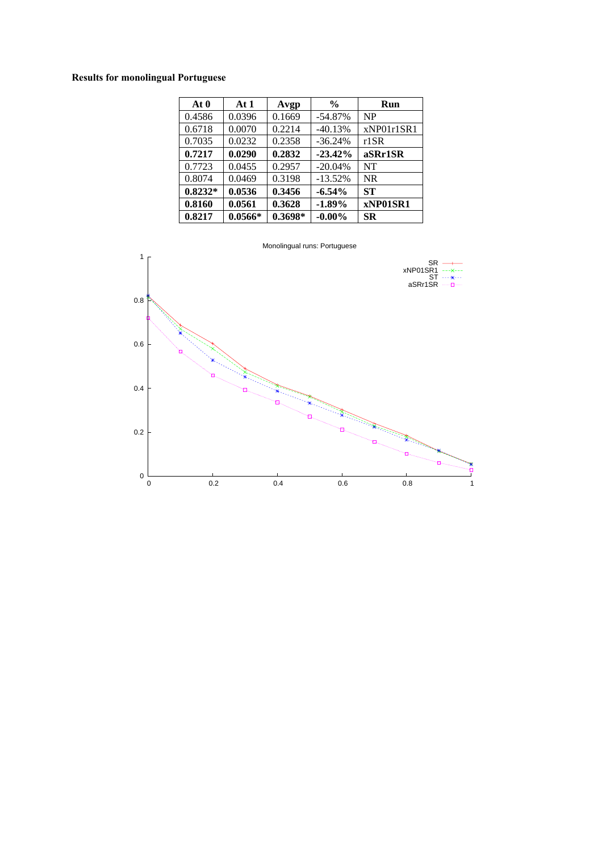## **Results for monolingual Portuguese**

| At 0      | At $1$    | Avgp      | $\frac{6}{6}$ | Run        |
|-----------|-----------|-----------|---------------|------------|
| 0.4586    | 0.0396    | 0.1669    | $-54.87%$     | NP         |
| 0.6718    | 0.0070    | 0.2214    | $-40.13%$     | xNP01r1SR1 |
| 0.7035    | 0.0232    | 0.2358    | $-36.24%$     | $r1$ SR    |
| 0.7217    | 0.0290    | 0.2832    | $-23.42%$     | aSRr1SR    |
| 0.7723    | 0.0455    | 0.2957    | $-20.04\%$    | NT         |
| 0.8074    | 0.0469    | 0.3198    | $-13.52%$     | <b>NR</b>  |
| $0.8232*$ | 0.0536    | 0.3456    | $-6.54%$      | <b>ST</b>  |
| 0.8160    | 0.0561    | 0.3628    | $-1.89%$      | xNP01SR1   |
| 0.8217    | $0.0566*$ | $0.3698*$ | $-0.00\%$     | <b>SR</b>  |

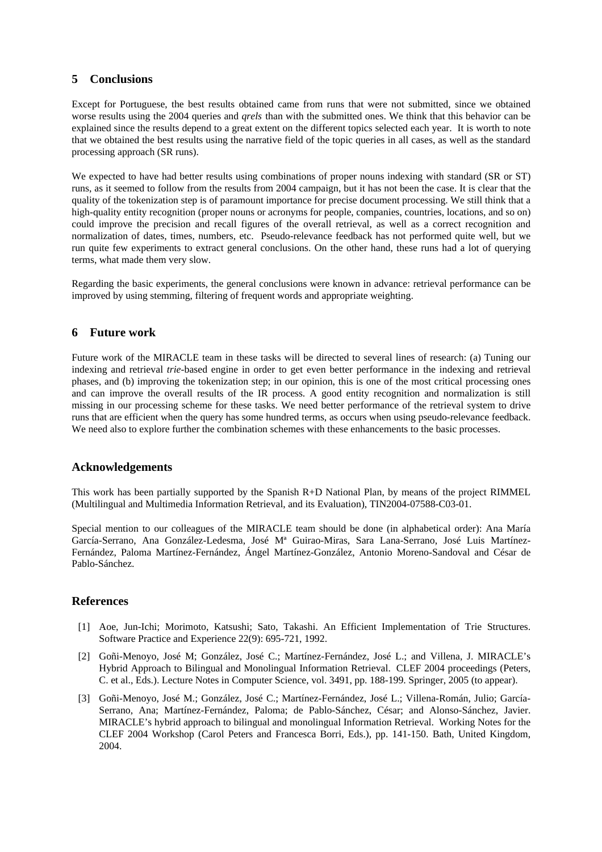### **5 Conclusions**

Except for Portuguese, the best results obtained came from runs that were not submitted, since we obtained worse results using the 2004 queries and *qrels* than with the submitted ones. We think that this behavior can be explained since the results depend to a great extent on the different topics selected each year. It is worth to note that we obtained the best results using the narrative field of the topic queries in all cases, as well as the standard processing approach (SR runs).

We expected to have had better results using combinations of proper nouns indexing with standard (SR or ST) runs, as it seemed to follow from the results from 2004 campaign, but it has not been the case. It is clear that the quality of the tokenization step is of paramount importance for precise document processing. We still think that a high-quality entity recognition (proper nouns or acronyms for people, companies, countries, locations, and so on) could improve the precision and recall figures of the overall retrieval, as well as a correct recognition and normalization of dates, times, numbers, etc. Pseudo-relevance feedback has not performed quite well, but we run quite few experiments to extract general conclusions. On the other hand, these runs had a lot of querying terms, what made them very slow.

Regarding the basic experiments, the general conclusions were known in advance: retrieval performance can be improved by using stemming, filtering of frequent words and appropriate weighting.

### **6 Future work**

Future work of the MIRACLE team in these tasks will be directed to several lines of research: (a) Tuning our indexing and retrieval *trie*-based engine in order to get even better performance in the indexing and retrieval phases, and (b) improving the tokenization step; in our opinion, this is one of the most critical processing ones and can improve the overall results of the IR process. A good entity recognition and normalization is still missing in our processing scheme for these tasks. We need better performance of the retrieval system to drive runs that are efficient when the query has some hundred terms, as occurs when using pseudo-relevance feedback. We need also to explore further the combination schemes with these enhancements to the basic processes.

## **Acknowledgements**

This work has been partially supported by the Spanish R+D National Plan, by means of the project RIMMEL (Multilingual and Multimedia Information Retrieval, and its Evaluation), TIN2004-07588-C03-01.

Special mention to our colleagues of the MIRACLE team should be done (in alphabetical order): Ana María García-Serrano, Ana González-Ledesma, José Mª Guirao-Miras, Sara Lana-Serrano, José Luis Martínez-Fernández, Paloma Martínez-Fernández, Ángel Martínez-González, Antonio Moreno-Sandoval and César de Pablo-Sánchez.

#### **References**

- [1] Aoe, Jun-Ichi; Morimoto, Katsushi; Sato, Takashi. An Efficient Implementation of Trie Structures. Software Practice and Experience 22(9): 695-721, 1992.
- [2] Goñi-Menoyo, José M; González, José C.; Martínez-Fernández, José L.; and Villena, J. MIRACLE's Hybrid Approach to Bilingual and Monolingual Information Retrieval. CLEF 2004 proceedings (Peters, C. et al., Eds.). Lecture Notes in Computer Science, vol. 3491, pp. 188-199. Springer, 2005 (to appear).
- [3] Goñi-Menoyo, José M.; González, José C.; Martínez-Fernández, José L.; Villena-Román, Julio; García-Serrano, Ana; Martínez-Fernández, Paloma; de Pablo-Sánchez, César; and Alonso-Sánchez, Javier. MIRACLE's hybrid approach to bilingual and monolingual Information Retrieval. Working Notes for the CLEF 2004 Workshop (Carol Peters and Francesca Borri, Eds.), pp. 141-150. Bath, United Kingdom, 2004.